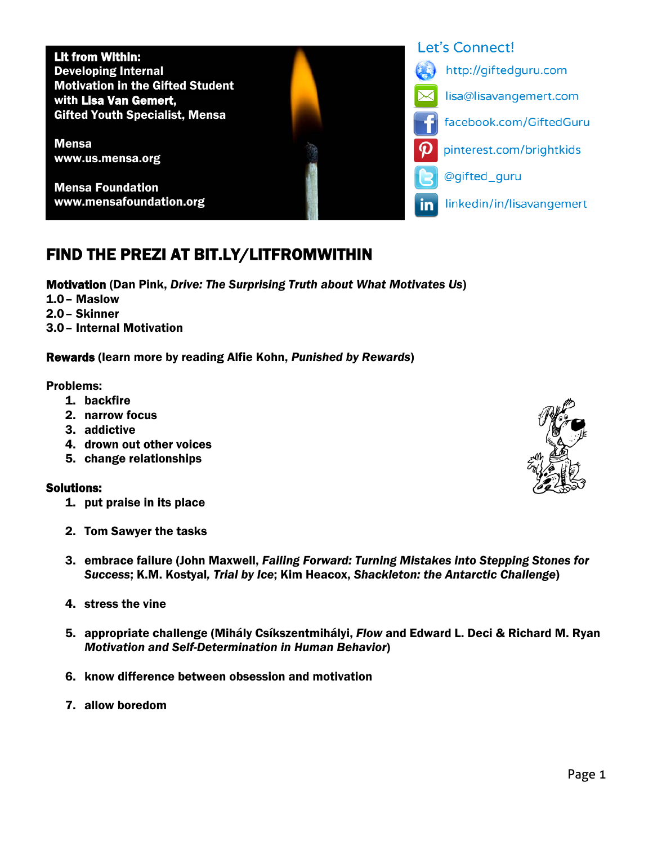Lit from Within: Developing Internal Motivation in the Gifted Student with Lisa Van Gemert, Gifted Youth Specialist, Mensa

Mensa www.us.mensa.org

Mensa Foundation www.mensafoundation.org

## FIND THE PREZI AT BIT.LY/LITFROMWITHIN

Motivation (Dan Pink, *Drive: The Surprising Truth about What Motivates Us*)

- 1.0– Maslow
- 2.0– Skinner
- 3.0– Internal Motivation

Rewards (learn more by reading Alfie Kohn, *Punished by Rewards*)

Problems:

- 1. backfire
- 2. narrow focus
- 3. addictive
- 4. drown out other voices
- 5. change relationships

## Solutions:

- 1. put praise in its place
- 2. Tom Sawyer the tasks
- 3. embrace failure (John Maxwell, *Failing Forward: Turning Mistakes into Stepping Stones for Success*; K.M. Kostyal*, Trial by Ice*; Kim Heacox, *Shackleton: the Antarctic Challenge*)
- 4. stress the vine
- 5. appropriate challenge (Mihály Csíkszentmihályi, *Flow* and Edward L. Deci & Richard M. Ryan *Motivation and Self-Determination in Human Behavior*)
- 6. know difference between obsession and motivation
- 7. allow boredom